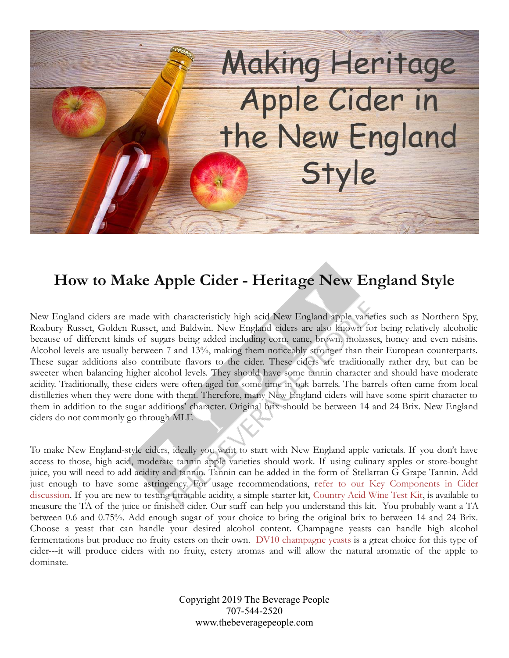

## **How to Make Apple Cider - Heritage New England Style**

New England ciders are made with characteristicly high acid New England apple varieties such as Northern Spy, Roxbury Russet, Golden Russet, and Baldwin. New England ciders are also known for being relatively alcoholic because of different kinds of sugars being added including corn, cane, brown, molasses, honey and even raisins. Alcohol levels are usually between 7 and 13%, making them noticeably stronger than their European counterparts. These sugar additions also contribute flavors to the cider. These ciders are traditionally rather dry, but can be sweeter when balancing higher alcohol levels. They should have some tannin character and should have moderate acidity. Traditionally, these ciders were often aged for some time in oak barrels. The barrels often came from local distilleries when they were done with them. Therefore, many New England ciders will have some spirit character to them in addition to the sugar additions' character. Original brix should be between 14 and 24 Brix. New England ciders do not commonly go through MLF.

To make New England-style ciders, ideally you want to start with New England apple varietals. If you don't have access to those, high acid, moderate tannin apple varieties should work. If using culinary apples or store-bought juice, you will need to add acidity and tannin. Tannin can be added in the form of Stellartan G Grape Tannin. Add just enough to have some astringency. For usage recommendations, [refer to our Key Components in Cider](https://www.thebeveragepeople.com/how-to/cider-perry/key-components-in-hard-cider.html) [discussion.](https://www.thebeveragepeople.com/how-to/cider-perry/key-components-in-hard-cider.html) If you are new to testing titratable acidity, a simple starter kit, [Country Acid Wine Test Kit,](https://www.thebeveragepeople.com/products/testing/acid-test-kit-country-wines-wine-acid-titration-kit.html) is available to measure the TA of the juice or finished cider. Our staff can help you understand this kit. You probably want a TA between 0.6 and 0.75%. Add enough sugar of your choice to bring the original brix to between 14 and 24 Brix. Choose a yeast that can handle your desired alcohol content. Champagne yeasts can handle high alcohol fermentations but produce no fruity esters on their own. [DV10 champagne yeasts](https://www.thebeveragepeople.com/products/yeast/10-g-dv10-cider-wine-yeast.html) is a great choice for this type of cider---it will produce ciders with no fruity, estery aromas and will allow the natural aromatic of the apple to dominate.

> Copyright 2019 The Beverage People 707-544-2520 www.thebeveragepeople.com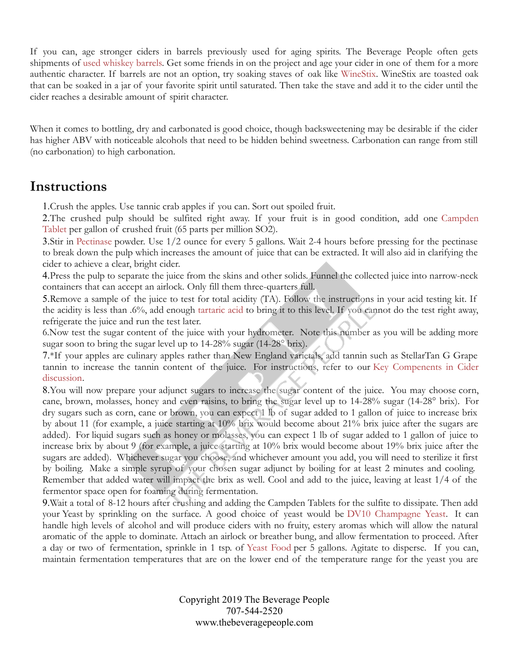If you can, age stronger ciders in barrels previously used for aging spirits. The Beverage People often gets shipments of [used whiskey barrels.](https://www.thebeveragepeople.com/beer-brewing/equipment/barrels.html) Get some friends in on the project and age your cider in one of them for a more authentic character. If barrels are not an option, try soaking staves of oak like [WineStix.](https://www.thebeveragepeople.com/wine-making/treatment/oak-treatments.html) WineStix are toasted oak that can be soaked in a jar of your favorite spirit until saturated. Then take the stave and add it to the cider until the cider reaches a desirable amount of spirit character.

When it comes to bottling, dry and carbonated is good choice, though backsweetening may be desirable if the cider has higher ABV with noticeable alcohols that need to be hidden behind sweetness. Carbonation can range from still (no carbonation) to high carbonation.

## **Instructions**

1.Crush the apples. Use tannic crab apples if you can. Sort out spoiled fruit.

2.The crushed pulp should be sulfited right away. If your fruit is in good condition, add one [Campden](https://www.thebeveragepeople.com/products/treatments/campden-tablets-25-count-1-per-gallon-65ppm.html) [Tablet](https://www.thebeveragepeople.com/products/treatments/campden-tablets-25-count-1-per-gallon-65ppm.html) per gallon of crushed fruit (65 parts per million SO2).

3.Stir in [Pectinase](https://www.thebeveragepeople.com/products/treatments/pectinase-pectic-enzyme-1-oz-details.html) powder. Use 1/2 ounce for every 5 gallons. Wait 2-4 hours before pressing for the pectinase to break down the pulp which increases the amount of juice that can be extracted. It will also aid in clarifying the cider to achieve a clear, bright cider.

4.Press the pulp to separate the juice from the skins and other solids. Funnel the collected juice into narrow-neck containers that can accept an airlock. Only fill them three-quarters full.

5.Remove a sample of the juice to test for total acidity (TA). Follow the instructions in your acid testing kit. If the acidity is less than .6%, add enough [tartaric acid](https://www.thebeveragepeople.com/wine-making/treatment/wine-acids.html) to bring it to this level. If you cannot do the test right away, refrigerate the juice and run the test later.

6.Now test the sugar content of the juice with your hydrometer. Note this number as you will be adding more sugar soon to bring the sugar level up to 14-28% sugar (14-28° brix).

7.\*If your apples are culinary apples rather than New England varietals, add tannin such as StellarTan G Grape tannin to increase the tannin content of the juice. For instructions, refer to our [Key Compenents in Cider](https://www.thebeveragepeople.com/how-to/cider-perry/key-components-in-hard-cider.html) [discussion.](https://www.thebeveragepeople.com/how-to/cider-perry/key-components-in-hard-cider.html)

8.You will now prepare your adjunct sugars to increase the sugar content of the juice. You may choose corn, cane, brown, molasses, honey and even raisins, to bring the sugar level up to 14-28% sugar (14-28° brix). For dry sugars such as corn, cane or brown, you can expect 1 lb of sugar added to 1 gallon of juice to increase brix by about 11 (for example, a juice starting at 10% brix would become about 21% brix juice after the sugars are added). For liquid sugars such as honey or molasses, you can expect 1 lb of sugar added to 1 gallon of juice to increase brix by about 9 (for example, a juice starting at 10% brix would become about 19% brix juice after the sugars are added). Whichever sugar you choose, and whichever amount you add, you will need to sterilize it first by boiling. Make a simple syrup of your chosen sugar adjunct by boiling for at least 2 minutes and cooling. Remember that added water will impact the brix as well. Cool and add to the juice, leaving at least 1/4 of the fermentor space open for foaming during fermentation.

9.Wait a total of 8-12 hours after crushing and adding the Campden Tablets for the sulfite to dissipate. Then add your Yeast by sprinkling on the surface. A good choice of yeast would be [DV10 Champagne Yeast.](https://www.thebeveragepeople.com/products/yeast/10-g-dv10-cider-wine-yeast.html) It can handle high levels of alcohol and will produce ciders with no fruity, estery aromas which will allow the natural aromatic of the apple to dominate. Attach an airlock or breather bung, and allow fermentation to proceed. After a day or two of fermentation, sprinkle in 1 tsp. of [Yeast Food](https://www.thebeveragepeople.com/products/treatments/yeast-food-fermaid-k-3-oz.html) per 5 gallons. Agitate to disperse. If you can, maintain fermentation temperatures that are on the lower end of the temperature range for the yeast you are

> Copyright 2019 The Beverage People 707-544-2520 www.thebeveragepeople.com